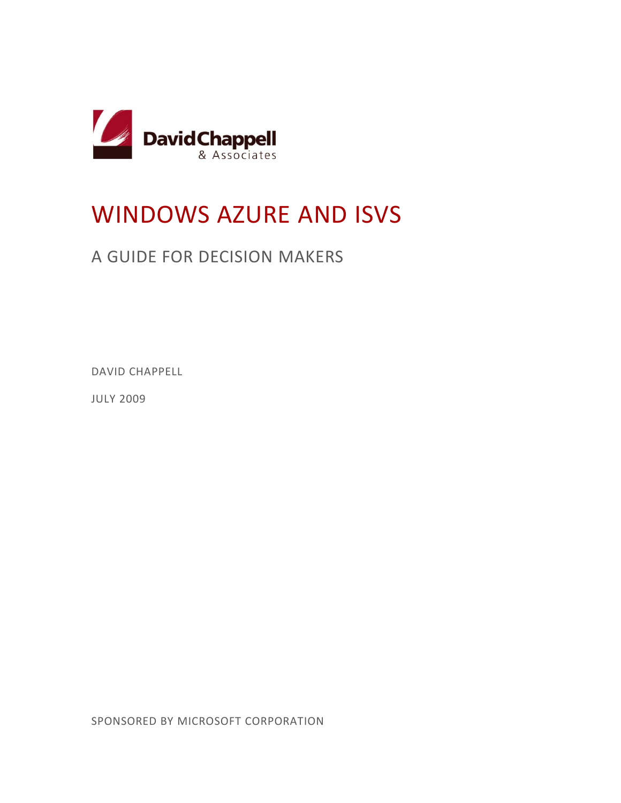

# WINDOWS AZURE AND ISVS

## A GUIDE FOR DECISION MAKERS

DAVID CHAPPELL

JULY 2009

SPONSORED BY MICROSOFT CORPORATION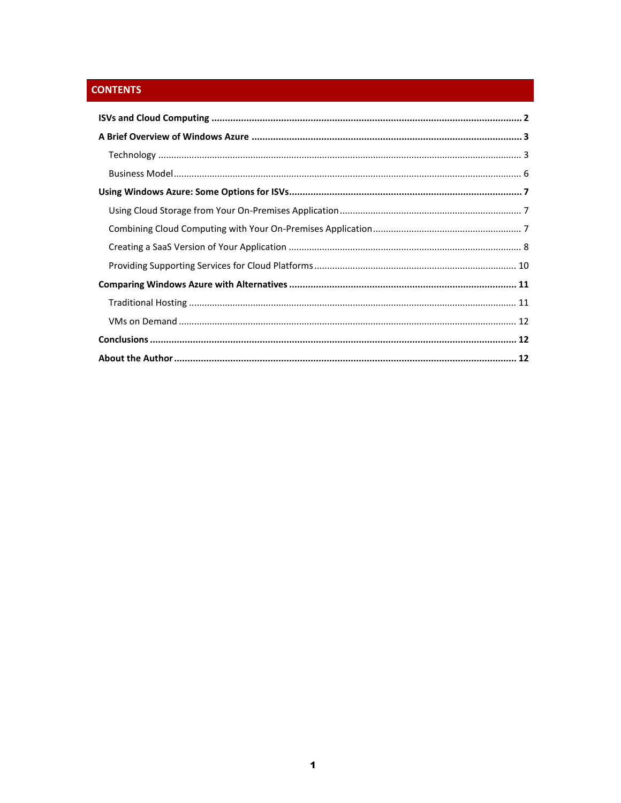### **CONTENTS**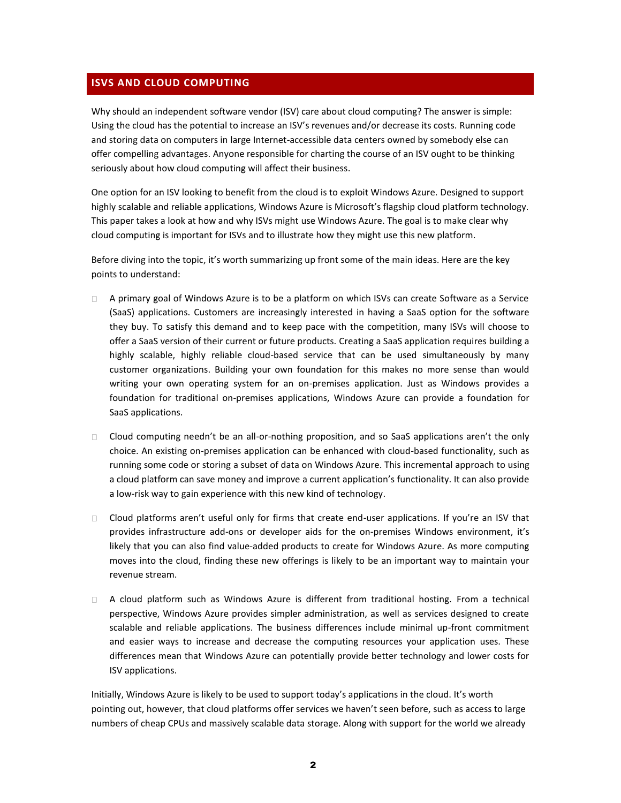#### <span id="page-2-0"></span>**ISVS AND CLOUD COMPUTING**

Why should an independent software vendor (ISV) care about cloud computing? The answer is simple: Using the cloud has the potential to increase an ISV's revenues and/or decrease its costs. Running code and storing data on computers in large Internet-accessible data centers owned by somebody else can offer compelling advantages. Anyone responsible for charting the course of an ISV ought to be thinking seriously about how cloud computing will affect their business.

One option for an ISV looking to benefit from the cloud is to exploit Windows Azure. Designed to support highly scalable and reliable applications, Windows Azure is Microsoft's flagship cloud platform technology. This paper takes a look at how and why ISVs might use Windows Azure. The goal is to make clear why cloud computing is important for ISVs and to illustrate how they might use this new platform.

Before diving into the topic, it's worth summarizing up front some of the main ideas. Here are the key points to understand:

- $\Box$ A primary goal of Windows Azure is to be a platform on which ISVs can create Software as a Service (SaaS) applications. Customers are increasingly interested in having a SaaS option for the software they buy. To satisfy this demand and to keep pace with the competition, many ISVs will choose to offer a SaaS version of their current or future products. Creating a SaaS application requires building a highly scalable, highly reliable cloud-based service that can be used simultaneously by many customer organizations. Building your own foundation for this makes no more sense than would writing your own operating system for an on-premises application. Just as Windows provides a foundation for traditional on-premises applications, Windows Azure can provide a foundation for SaaS applications.
- $\Box$  Cloud computing needn't be an all-or-nothing proposition, and so SaaS applications aren't the only choice. An existing on-premises application can be enhanced with cloud-based functionality, such as running some code or storing a subset of data on Windows Azure. This incremental approach to using a cloud platform can save money and improve a current application's functionality. It can also provide a low-risk way to gain experience with this new kind of technology.
- Cloud platforms aren't useful only for firms that create end-user applications. If you're an ISV that provides infrastructure add-ons or developer aids for the on-premises Windows environment, it's likely that you can also find value-added products to create for Windows Azure. As more computing moves into the cloud, finding these new offerings is likely to be an important way to maintain your revenue stream.
- A cloud platform such as Windows Azure is different from traditional hosting. From a technical perspective, Windows Azure provides simpler administration, as well as services designed to create scalable and reliable applications. The business differences include minimal up-front commitment and easier ways to increase and decrease the computing resources your application uses. These differences mean that Windows Azure can potentially provide better technology and lower costs for ISV applications.

Initially, Windows Azure is likely to be used to support today's applications in the cloud. It's worth pointing out, however, that cloud platforms offer services we haven't seen before, such as access to large numbers of cheap CPUs and massively scalable data storage. Along with support for the world we already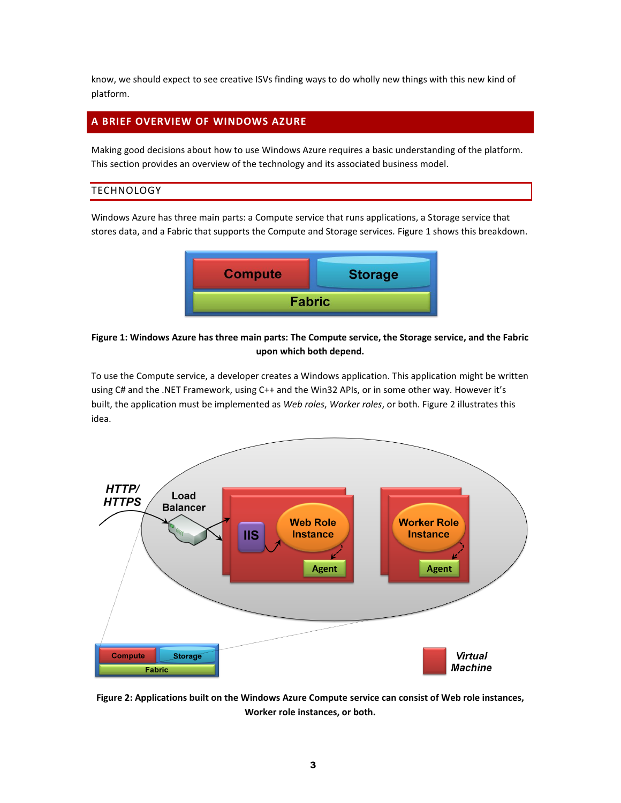know, we should expect to see creative ISVs finding ways to do wholly new things with this new kind of platform.

#### <span id="page-3-0"></span>**A BRIEF OVERVIEW OF WINDOWS AZURE**

Making good decisions about how to use Windows Azure requires a basic understanding of the platform. This section provides an overview of the technology and its associated business model.

#### <span id="page-3-1"></span>**TECHNOLOGY**

Windows Azure has three main parts: a Compute service that runs applications, a Storage service that stores data, and a Fabric that supports the Compute and Storage services. Figure 1 shows this breakdown.



#### **Figure 1: Windows Azure has three main parts: The Compute service, the Storage service, and the Fabric upon which both depend.**

To use the Compute service, a developer creates a Windows application. This application might be written using C# and the .NET Framework, using C++ and the Win32 APIs, or in some other way. However it's built, the application must be implemented as *Web roles*, *Worker roles*, or both. Figure 2 illustrates this idea.



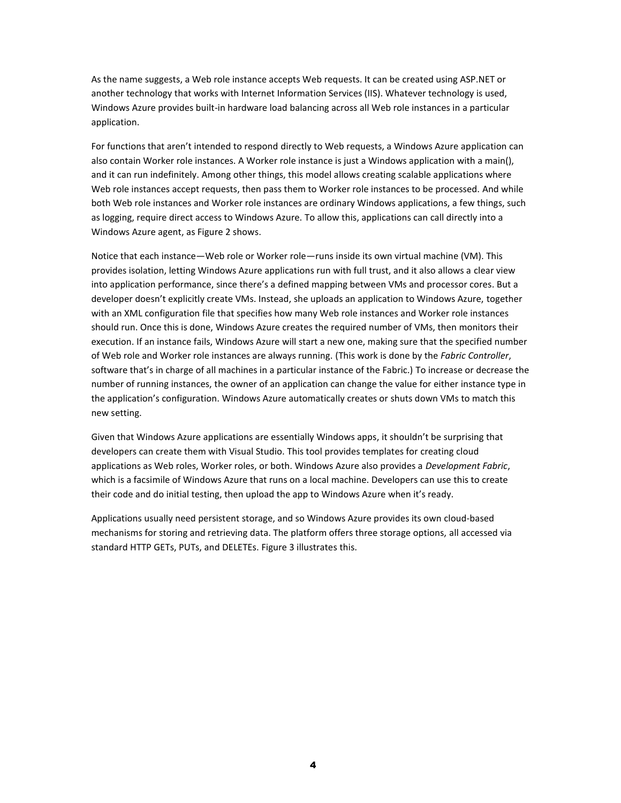As the name suggests, a Web role instance accepts Web requests. It can be created using ASP.NET or another technology that works with Internet Information Services (IIS). Whatever technology is used, Windows Azure provides built-in hardware load balancing across all Web role instances in a particular application.

For functions that aren't intended to respond directly to Web requests, a Windows Azure application can also contain Worker role instances. A Worker role instance is just a Windows application with a main(), and it can run indefinitely. Among other things, this model allows creating scalable applications where Web role instances accept requests, then pass them to Worker role instances to be processed. And while both Web role instances and Worker role instances are ordinary Windows applications, a few things, such as logging, require direct access to Windows Azure. To allow this, applications can call directly into a Windows Azure agent, as Figure 2 shows.

Notice that each instance—Web role or Worker role—runs inside its own virtual machine (VM). This provides isolation, letting Windows Azure applications run with full trust, and it also allows a clear view into application performance, since there's a defined mapping between VMs and processor cores. But a developer doesn't explicitly create VMs. Instead, she uploads an application to Windows Azure, together with an XML configuration file that specifies how many Web role instances and Worker role instances should run. Once this is done, Windows Azure creates the required number of VMs, then monitors their execution. If an instance fails, Windows Azure will start a new one, making sure that the specified number of Web role and Worker role instances are always running. (This work is done by the *Fabric Controller*, software that's in charge of all machines in a particular instance of the Fabric.) To increase or decrease the number of running instances, the owner of an application can change the value for either instance type in the application's configuration. Windows Azure automatically creates or shuts down VMs to match this new setting.

Given that Windows Azure applications are essentially Windows apps, it shouldn't be surprising that developers can create them with Visual Studio. This tool provides templates for creating cloud applications as Web roles, Worker roles, or both. Windows Azure also provides a *Development Fabric*, which is a facsimile of Windows Azure that runs on a local machine. Developers can use this to create their code and do initial testing, then upload the app to Windows Azure when it's ready.

Applications usually need persistent storage, and so Windows Azure provides its own cloud-based mechanisms for storing and retrieving data. The platform offers three storage options, all accessed via standard HTTP GETs, PUTs, and DELETEs. Figure 3 illustrates this.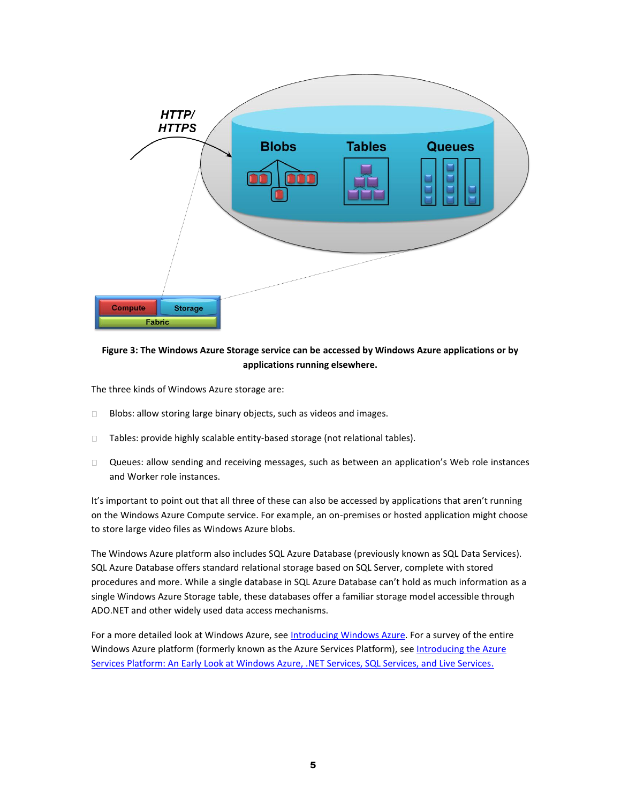

#### **Figure 3: The Windows Azure Storage service can be accessed by Windows Azure applications or by applications running elsewhere.**

The three kinds of Windows Azure storage are:

- Blobs: allow storing large binary objects, such as videos and images.  $\Box$
- Tables: provide highly scalable entity-based storage (not relational tables).  $\Box$
- $\Box$ Queues: allow sending and receiving messages, such as between an application's Web role instances and Worker role instances.

It's important to point out that all three of these can also be accessed by applications that aren't running on the Windows Azure Compute service. For example, an on-premises or hosted application might choose to store large video files as Windows Azure blobs.

The Windows Azure platform also includes SQL Azure Database (previously known as SQL Data Services). SQL Azure Database offers standard relational storage based on SQL Server, complete with stored procedures and more. While a single database in SQL Azure Database can't hold as much information as a single Windows Azure Storage table, these databases offer a familiar storage model accessible through ADO.NET and other widely used data access mechanisms.

For a more detailed look at Windows Azure, see [Introducing Windows Azure.](http://www.davidchappell.com/writing/white_papers/Introducing_Windows_Azure_v1-Chappell.pdf) For a survey of the entire Windows Azure platform (formerly known as the Azure Services Platform), see [Introducing the Azure](http://www.davidchappell.com/Azure_Services_Platform_v1.1--Chappell.pdf)  Services Platform: [An Early Look at Windows Azure, .NET Services, SQL Services, and Live Services.](http://www.davidchappell.com/Azure_Services_Platform_v1.1--Chappell.pdf)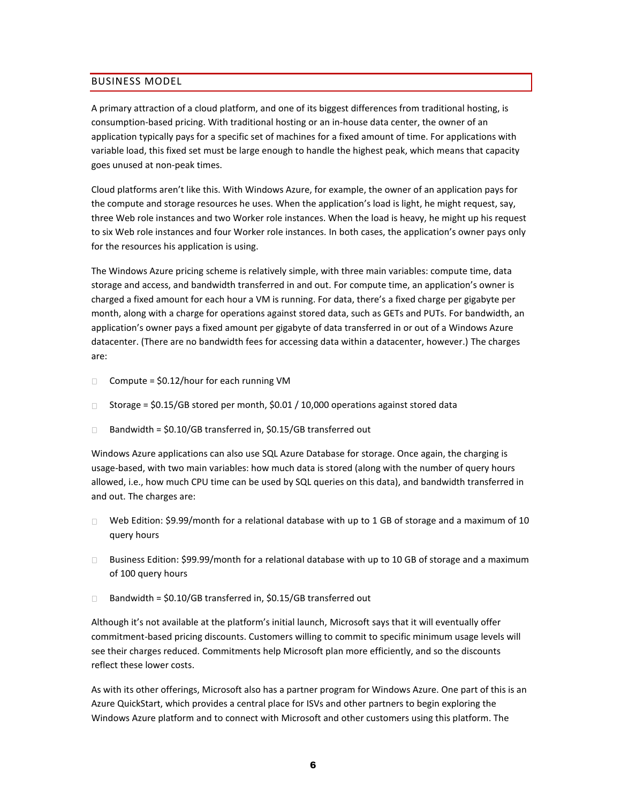#### <span id="page-6-0"></span>BUSINESS MODEL

A primary attraction of a cloud platform, and one of its biggest differences from traditional hosting, is consumption-based pricing. With traditional hosting or an in-house data center, the owner of an application typically pays for a specific set of machines for a fixed amount of time. For applications with variable load, this fixed set must be large enough to handle the highest peak, which means that capacity goes unused at non-peak times.

Cloud platforms aren't like this. With Windows Azure, for example, the owner of an application pays for the compute and storage resources he uses. When the application's load is light, he might request, say, three Web role instances and two Worker role instances. When the load is heavy, he might up his request to six Web role instances and four Worker role instances. In both cases, the application's owner pays only for the resources his application is using.

The Windows Azure pricing scheme is relatively simple, with three main variables: compute time, data storage and access, and bandwidth transferred in and out. For compute time, an application's owner is charged a fixed amount for each hour a VM is running. For data, there's a fixed charge per gigabyte per month, along with a charge for operations against stored data, such as GETs and PUTs. For bandwidth, an application's owner pays a fixed amount per gigabyte of data transferred in or out of a Windows Azure datacenter. (There are no bandwidth fees for accessing data within a datacenter, however.) The charges are:

- Compute = \$0.12/hour for each running VM  $\Box$
- $\Box$ Storage = \$0.15/GB stored per month, \$0.01 / 10,000 operations against stored data
- Bandwidth = \$0.10/GB transferred in, \$0.15/GB transferred out  $\Box$

Windows Azure applications can also use SQL Azure Database for storage. Once again, the charging is usage-based, with two main variables: how much data is stored (along with the number of query hours allowed, i.e., how much CPU time can be used by SQL queries on this data), and bandwidth transferred in and out. The charges are:

- Web Edition: \$9.99/month for a relational database with up to 1 GB of storage and a maximum of 10  $\Box$ query hours
- $\Box$  Business Edition: \$99.99/month for a relational database with up to 10 GB of storage and a maximum of 100 query hours
- Bandwidth = \$0.10/GB transferred in, \$0.15/GB transferred out  $\Box$

Although it's not available at the platform's initial launch, Microsoft says that it will eventually offer commitment-based pricing discounts. Customers willing to commit to specific minimum usage levels will see their charges reduced. Commitments help Microsoft plan more efficiently, and so the discounts reflect these lower costs.

As with its other offerings, Microsoft also has a partner program for Windows Azure. One part of this is an Azure QuickStart, which provides a central place for ISVs and other partners to begin exploring the Windows Azure platform and to connect with Microsoft and other customers using this platform. The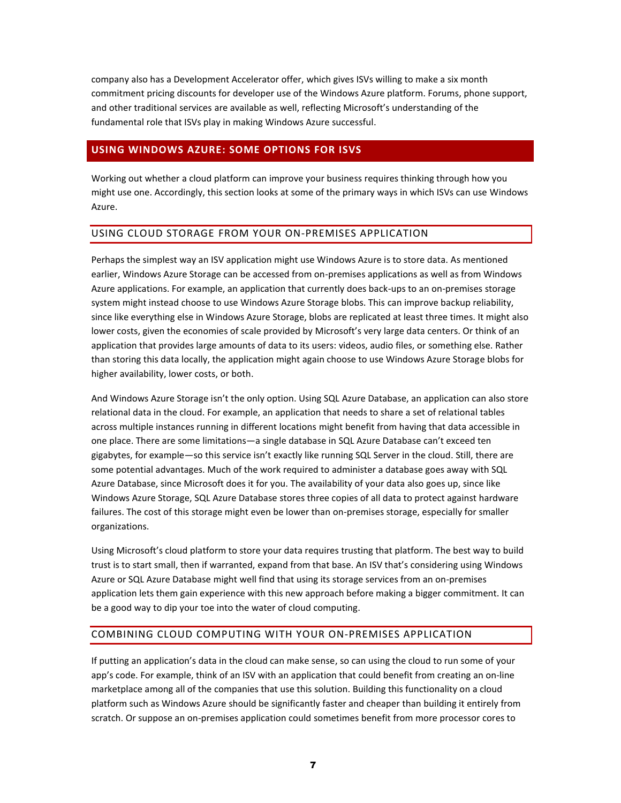company also has a Development Accelerator offer, which gives ISVs willing to make a six month commitment pricing discounts for developer use of the Windows Azure platform. Forums, phone support, and other traditional services are available as well, reflecting Microsoft's understanding of the fundamental role that ISVs play in making Windows Azure successful.

#### <span id="page-7-0"></span>**USING WINDOWS AZURE: SOME OPTIONS FOR ISVS**

Working out whether a cloud platform can improve your business requires thinking through how you might use one. Accordingly, this section looks at some of the primary ways in which ISVs can use Windows Azure.

#### <span id="page-7-1"></span>USING CLOUD STORAGE FROM YOUR ON-PREMISES APPLICATION

Perhaps the simplest way an ISV application might use Windows Azure is to store data. As mentioned earlier, Windows Azure Storage can be accessed from on-premises applications as well as from Windows Azure applications. For example, an application that currently does back-ups to an on-premises storage system might instead choose to use Windows Azure Storage blobs. This can improve backup reliability, since like everything else in Windows Azure Storage, blobs are replicated at least three times. It might also lower costs, given the economies of scale provided by Microsoft's very large data centers. Or think of an application that provides large amounts of data to its users: videos, audio files, or something else. Rather than storing this data locally, the application might again choose to use Windows Azure Storage blobs for higher availability, lower costs, or both.

And Windows Azure Storage isn't the only option. Using SQL Azure Database, an application can also store relational data in the cloud. For example, an application that needs to share a set of relational tables across multiple instances running in different locations might benefit from having that data accessible in one place. There are some limitations—a single database in SQL Azure Database can't exceed ten gigabytes, for example—so this service isn't exactly like running SQL Server in the cloud. Still, there are some potential advantages. Much of the work required to administer a database goes away with SQL Azure Database, since Microsoft does it for you. The availability of your data also goes up, since like Windows Azure Storage, SQL Azure Database stores three copies of all data to protect against hardware failures. The cost of this storage might even be lower than on-premises storage, especially for smaller organizations.

Using Microsoft's cloud platform to store your data requires trusting that platform. The best way to build trust is to start small, then if warranted, expand from that base. An ISV that's considering using Windows Azure or SQL Azure Database might well find that using its storage services from an on-premises application lets them gain experience with this new approach before making a bigger commitment. It can be a good way to dip your toe into the water of cloud computing.

#### <span id="page-7-2"></span>COMBINING CLOUD COMPUTING WITH YOUR ON-PREMISES APPLICATION

If putting an application's data in the cloud can make sense, so can using the cloud to run some of your app's code. For example, think of an ISV with an application that could benefit from creating an on-line marketplace among all of the companies that use this solution. Building this functionality on a cloud platform such as Windows Azure should be significantly faster and cheaper than building it entirely from scratch. Or suppose an on-premises application could sometimes benefit from more processor cores to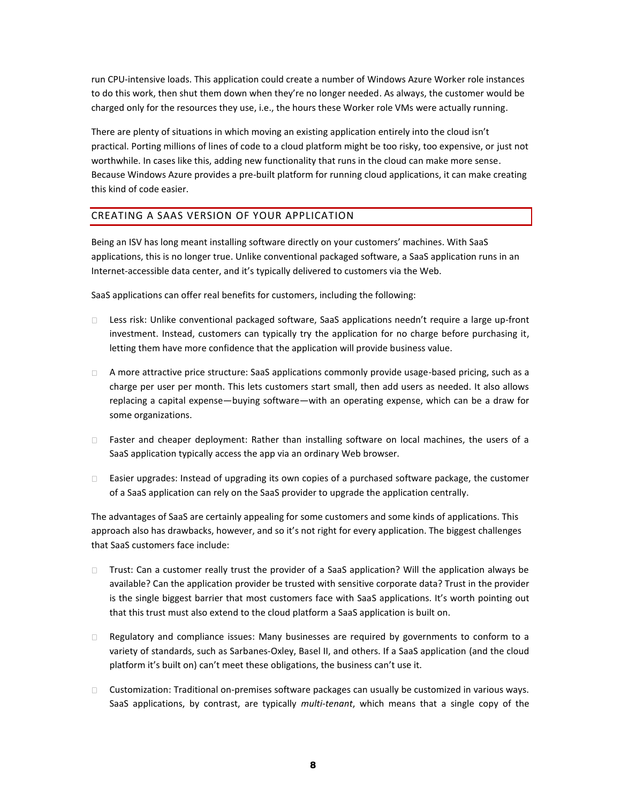run CPU-intensive loads. This application could create a number of Windows Azure Worker role instances to do this work, then shut them down when they're no longer needed. As always, the customer would be charged only for the resources they use, i.e., the hours these Worker role VMs were actually running.

There are plenty of situations in which moving an existing application entirely into the cloud isn't practical. Porting millions of lines of code to a cloud platform might be too risky, too expensive, or just not worthwhile. In cases like this, adding new functionality that runs in the cloud can make more sense. Because Windows Azure provides a pre-built platform for running cloud applications, it can make creating this kind of code easier.

#### <span id="page-8-0"></span>CREATING A SAAS VERSION OF YOUR APPLICATION

Being an ISV has long meant installing software directly on your customers' machines. With SaaS applications, this is no longer true. Unlike conventional packaged software, a SaaS application runs in an Internet-accessible data center, and it's typically delivered to customers via the Web.

SaaS applications can offer real benefits for customers, including the following:

- Less risk: Unlike conventional packaged software, SaaS applications needn't require a large up-front  $\Box$ investment. Instead, customers can typically try the application for no charge before purchasing it, letting them have more confidence that the application will provide business value.
- □ A more attractive price structure: SaaS applications commonly provide usage-based pricing, such as a charge per user per month. This lets customers start small, then add users as needed. It also allows replacing a capital expense—buying software—with an operating expense, which can be a draw for some organizations.
- □ Faster and cheaper deployment: Rather than installing software on local machines, the users of a SaaS application typically access the app via an ordinary Web browser.
- $\Box$  Easier upgrades: Instead of upgrading its own copies of a purchased software package, the customer of a SaaS application can rely on the SaaS provider to upgrade the application centrally.

The advantages of SaaS are certainly appealing for some customers and some kinds of applications. This approach also has drawbacks, however, and so it's not right for every application. The biggest challenges that SaaS customers face include:

- $\Box$  Trust: Can a customer really trust the provider of a SaaS application? Will the application always be available? Can the application provider be trusted with sensitive corporate data? Trust in the provider is the single biggest barrier that most customers face with SaaS applications. It's worth pointing out that this trust must also extend to the cloud platform a SaaS application is built on.
- $\Box$  . Regulatory and compliance issues: Many businesses are required by governments to conform to a variety of standards, such as Sarbanes-Oxley, Basel II, and others. If a SaaS application (and the cloud platform it's built on) can't meet these obligations, the business can't use it.
- Customization: Traditional on-premises software packages can usually be customized in various ways. SaaS applications, by contrast, are typically *multi-tenant*, which means that a single copy of the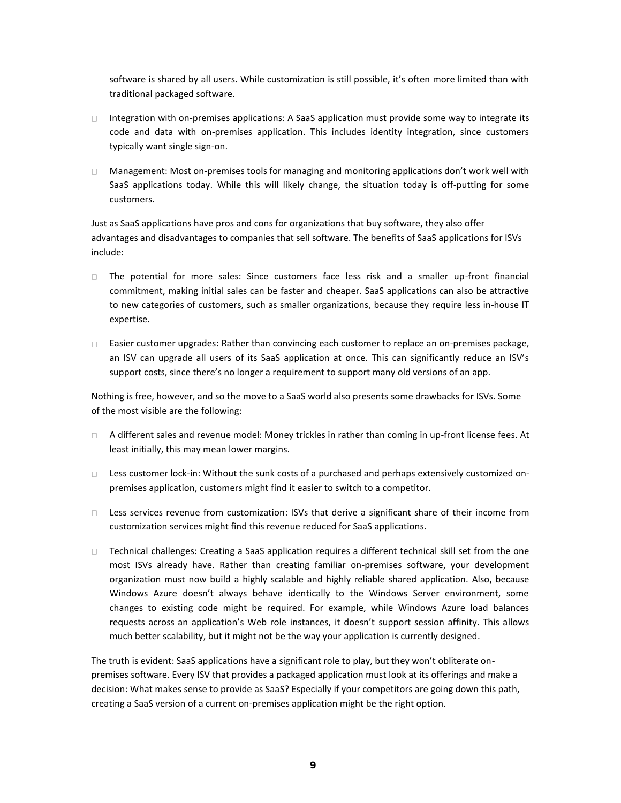software is shared by all users. While customization is still possible, it's often more limited than with traditional packaged software.

- $\Box$  Integration with on-premises applications: A SaaS application must provide some way to integrate its code and data with on-premises application. This includes identity integration, since customers typically want single sign-on.
- $\Box$ Management: Most on-premises tools for managing and monitoring applications don't work well with SaaS applications today. While this will likely change, the situation today is off-putting for some customers.

Just as SaaS applications have pros and cons for organizations that buy software, they also offer advantages and disadvantages to companies that sell software. The benefits of SaaS applications for ISVs include:

- The potential for more sales: Since customers face less risk and a smaller up-front financial  $\Box$ commitment, making initial sales can be faster and cheaper. SaaS applications can also be attractive to new categories of customers, such as smaller organizations, because they require less in-house IT expertise.
- Easier customer upgrades: Rather than convincing each customer to replace an on-premises package, an ISV can upgrade all users of its SaaS application at once. This can significantly reduce an ISV's support costs, since there's no longer a requirement to support many old versions of an app.

Nothing is free, however, and so the move to a SaaS world also presents some drawbacks for ISVs. Some of the most visible are the following:

- □ A different sales and revenue model: Money trickles in rather than coming in up-front license fees. At least initially, this may mean lower margins.
- $\square$  Less customer lock-in: Without the sunk costs of a purchased and perhaps extensively customized onpremises application, customers might find it easier to switch to a competitor.
- □ Less services revenue from customization: ISVs that derive a significant share of their income from customization services might find this revenue reduced for SaaS applications.
- $\Box$  Technical challenges: Creating a SaaS application requires a different technical skill set from the one most ISVs already have. Rather than creating familiar on-premises software, your development organization must now build a highly scalable and highly reliable shared application. Also, because Windows Azure doesn't always behave identically to the Windows Server environment, some changes to existing code might be required. For example, while Windows Azure load balances requests across an application's Web role instances, it doesn't support session affinity. This allows much better scalability, but it might not be the way your application is currently designed.

The truth is evident: SaaS applications have a significant role to play, but they won't obliterate onpremises software. Every ISV that provides a packaged application must look at its offerings and make a decision: What makes sense to provide as SaaS? Especially if your competitors are going down this path, creating a SaaS version of a current on-premises application might be the right option.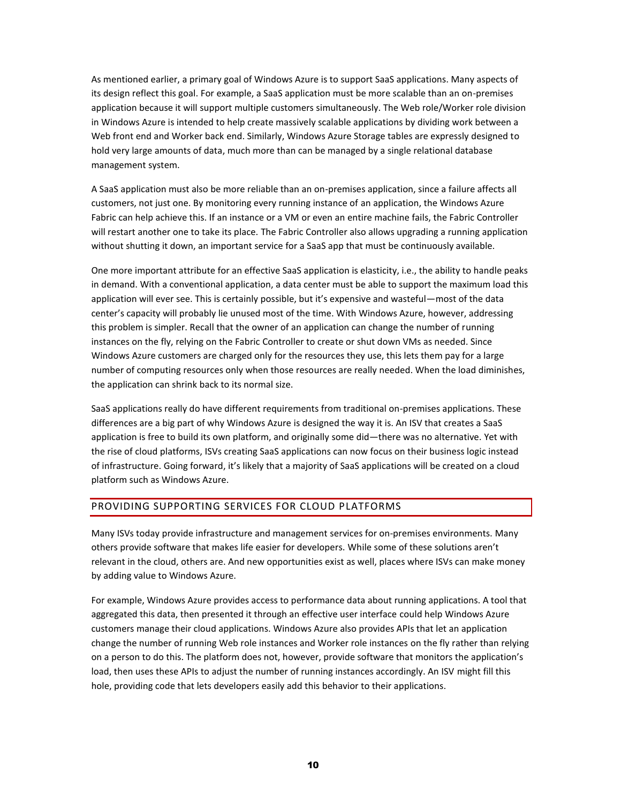As mentioned earlier, a primary goal of Windows Azure is to support SaaS applications. Many aspects of its design reflect this goal. For example, a SaaS application must be more scalable than an on-premises application because it will support multiple customers simultaneously. The Web role/Worker role division in Windows Azure is intended to help create massively scalable applications by dividing work between a Web front end and Worker back end. Similarly, Windows Azure Storage tables are expressly designed to hold very large amounts of data, much more than can be managed by a single relational database management system.

A SaaS application must also be more reliable than an on-premises application, since a failure affects all customers, not just one. By monitoring every running instance of an application, the Windows Azure Fabric can help achieve this. If an instance or a VM or even an entire machine fails, the Fabric Controller will restart another one to take its place. The Fabric Controller also allows upgrading a running application without shutting it down, an important service for a SaaS app that must be continuously available.

One more important attribute for an effective SaaS application is elasticity, i.e., the ability to handle peaks in demand. With a conventional application, a data center must be able to support the maximum load this application will ever see. This is certainly possible, but it's expensive and wasteful—most of the data center's capacity will probably lie unused most of the time. With Windows Azure, however, addressing this problem is simpler. Recall that the owner of an application can change the number of running instances on the fly, relying on the Fabric Controller to create or shut down VMs as needed. Since Windows Azure customers are charged only for the resources they use, this lets them pay for a large number of computing resources only when those resources are really needed. When the load diminishes, the application can shrink back to its normal size.

SaaS applications really do have different requirements from traditional on-premises applications. These differences are a big part of why Windows Azure is designed the way it is. An ISV that creates a SaaS application is free to build its own platform, and originally some did—there was no alternative. Yet with the rise of cloud platforms, ISVs creating SaaS applications can now focus on their business logic instead of infrastructure. Going forward, it's likely that a majority of SaaS applications will be created on a cloud platform such as Windows Azure.

#### <span id="page-10-0"></span>PROVIDING SUPPORTING SERVICES FOR CLOUD PLATFORMS

Many ISVs today provide infrastructure and management services for on-premises environments. Many others provide software that makes life easier for developers. While some of these solutions aren't relevant in the cloud, others are. And new opportunities exist as well, places where ISVs can make money by adding value to Windows Azure.

For example, Windows Azure provides access to performance data about running applications. A tool that aggregated this data, then presented it through an effective user interface could help Windows Azure customers manage their cloud applications. Windows Azure also provides APIs that let an application change the number of running Web role instances and Worker role instances on the fly rather than relying on a person to do this. The platform does not, however, provide software that monitors the application's load, then uses these APIs to adjust the number of running instances accordingly. An ISV might fill this hole, providing code that lets developers easily add this behavior to their applications.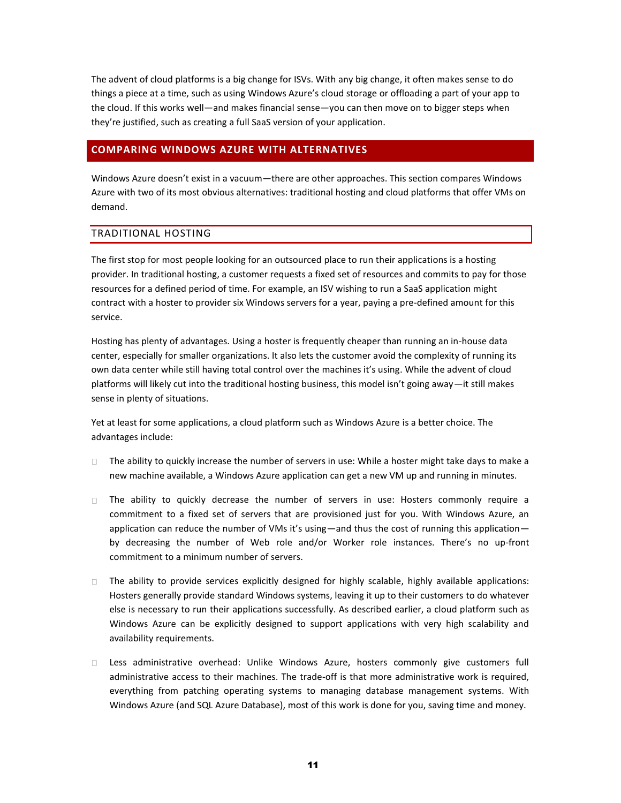The advent of cloud platforms is a big change for ISVs. With any big change, it often makes sense to do things a piece at a time, such as using Windows Azure's cloud storage or offloading a part of your app to the cloud. If this works well—and makes financial sense—you can then move on to bigger steps when they're justified, such as creating a full SaaS version of your application.

#### <span id="page-11-0"></span>**COMPARING WINDOWS AZURE WITH ALTERNATIVES**

Windows Azure doesn't exist in a vacuum—there are other approaches. This section compares Windows Azure with two of its most obvious alternatives: traditional hosting and cloud platforms that offer VMs on demand.

#### <span id="page-11-1"></span>TRADITIONAL HOSTING

The first stop for most people looking for an outsourced place to run their applications is a hosting provider. In traditional hosting, a customer requests a fixed set of resources and commits to pay for those resources for a defined period of time. For example, an ISV wishing to run a SaaS application might contract with a hoster to provider six Windows servers for a year, paying a pre-defined amount for this service.

Hosting has plenty of advantages. Using a hoster is frequently cheaper than running an in-house data center, especially for smaller organizations. It also lets the customer avoid the complexity of running its own data center while still having total control over the machines it's using. While the advent of cloud platforms will likely cut into the traditional hosting business, this model isn't going away—it still makes sense in plenty of situations.

Yet at least for some applications, a cloud platform such as Windows Azure is a better choice. The advantages include:

- $\Box$  The ability to quickly increase the number of servers in use: While a hoster might take days to make a new machine available, a Windows Azure application can get a new VM up and running in minutes.
- The ability to quickly decrease the number of servers in use: Hosters commonly require a commitment to a fixed set of servers that are provisioned just for you. With Windows Azure, an application can reduce the number of VMs it's using—and thus the cost of running this application by decreasing the number of Web role and/or Worker role instances. There's no up-front commitment to a minimum number of servers.
- $\Box$  The ability to provide services explicitly designed for highly scalable, highly available applications: Hosters generally provide standard Windows systems, leaving it up to their customers to do whatever else is necessary to run their applications successfully. As described earlier, a cloud platform such as Windows Azure can be explicitly designed to support applications with very high scalability and availability requirements.
- Less administrative overhead: Unlike Windows Azure, hosters commonly give customers full  $\Box$ administrative access to their machines. The trade-off is that more administrative work is required, everything from patching operating systems to managing database management systems. With Windows Azure (and SQL Azure Database), most of this work is done for you, saving time and money.